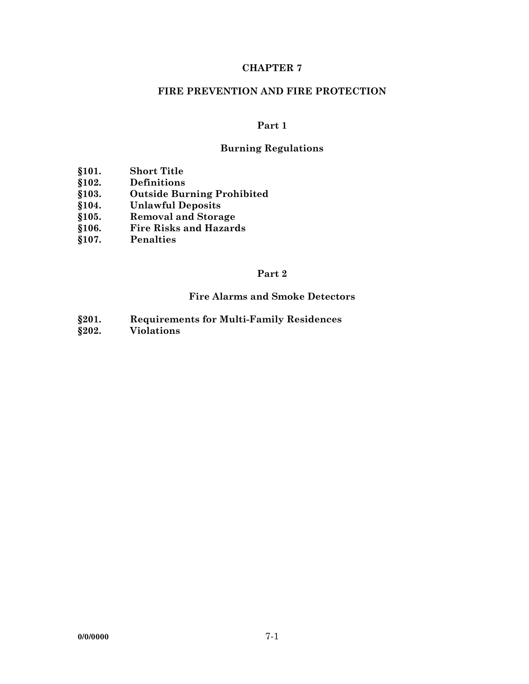## **CHAPTER 7**

#### **FIRE PREVENTION AND FIRE PROTECTION**

#### **Part 1**

# **Burning Regulations**

- **§101. Short Title**
- **§102. Definitions**
- **§103. Outside Burning Prohibited**
- **§104. Unlawful Deposits**
- 
- **§105. Removal and Storage §106. Fire Risks and Hazards**
- **§107. Penalties**

#### **Part 2**

# **Fire Alarms and Smoke Detectors**

- **§201. Requirements for Multi-Family Residences**
- **§202. Violations**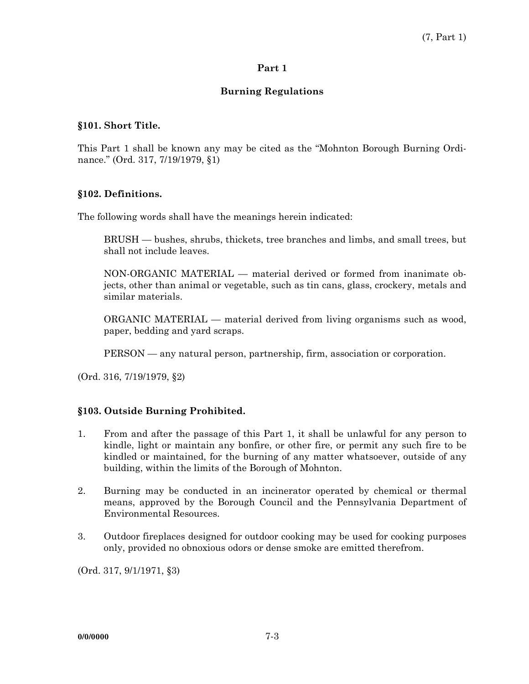#### **Part 1**

## **Burning Regulations**

#### **§101. Short Title.**

This Part 1 shall be known any may be cited as the "Mohnton Borough Burning Ordinance." (Ord. 317, 7/19/1979, §1)

#### **§102. Definitions.**

The following words shall have the meanings herein indicated:

 BRUSH — bushes, shrubs, thickets, tree branches and limbs, and small trees, but shall not include leaves.

 NON-ORGANIC MATERIAL — material derived or formed from inanimate objects, other than animal or vegetable, such as tin cans, glass, crockery, metals and similar materials.

 ORGANIC MATERIAL — material derived from living organisms such as wood, paper, bedding and yard scraps.

PERSON — any natural person, partnership, firm, association or corporation.

(Ord. 316, 7/19/1979, §2)

## **§103. Outside Burning Prohibited.**

- 1. From and after the passage of this Part 1, it shall be unlawful for any person to kindle, light or maintain any bonfire, or other fire, or permit any such fire to be kindled or maintained, for the burning of any matter whatsoever, outside of any building, within the limits of the Borough of Mohnton.
- 2. Burning may be conducted in an incinerator operated by chemical or thermal means, approved by the Borough Council and the Pennsylvania Department of Environmental Resources.
- 3. Outdoor fireplaces designed for outdoor cooking may be used for cooking purposes only, provided no obnoxious odors or dense smoke are emitted therefrom.

(Ord. 317, 9/1/1971, §3)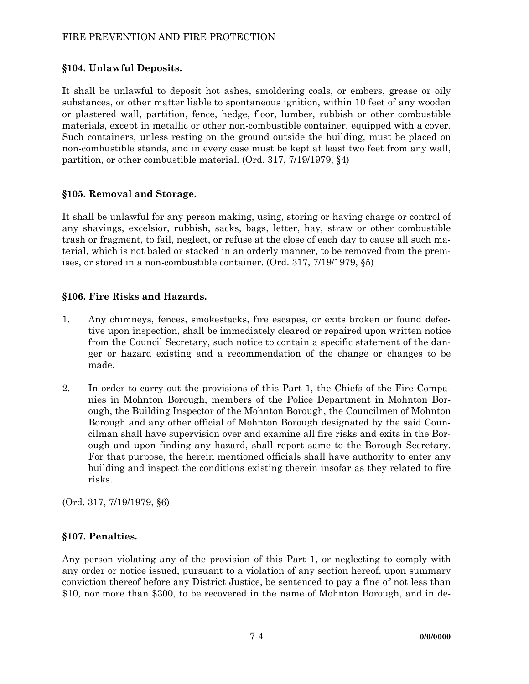## FIRE PREVENTION AND FIRE PROTECTION

## **§104. Unlawful Deposits.**

It shall be unlawful to deposit hot ashes, smoldering coals, or embers, grease or oily substances, or other matter liable to spontaneous ignition, within 10 feet of any wooden or plastered wall, partition, fence, hedge, floor, lumber, rubbish or other combustible materials, except in metallic or other non-combustible container, equipped with a cover. Such containers, unless resting on the ground outside the building, must be placed on non-combustible stands, and in every case must be kept at least two feet from any wall, partition, or other combustible material. (Ord. 317, 7/19/1979, §4)

## **§105. Removal and Storage.**

It shall be unlawful for any person making, using, storing or having charge or control of any shavings, excelsior, rubbish, sacks, bags, letter, hay, straw or other combustible trash or fragment, to fail, neglect, or refuse at the close of each day to cause all such material, which is not baled or stacked in an orderly manner, to be removed from the premises, or stored in a non-combustible container. (Ord. 317, 7/19/1979, §5)

## **§106. Fire Risks and Hazards.**

- 1. Any chimneys, fences, smokestacks, fire escapes, or exits broken or found defective upon inspection, shall be immediately cleared or repaired upon written notice from the Council Secretary, such notice to contain a specific statement of the danger or hazard existing and a recommendation of the change or changes to be made.
- 2. In order to carry out the provisions of this Part 1, the Chiefs of the Fire Companies in Mohnton Borough, members of the Police Department in Mohnton Borough, the Building Inspector of the Mohnton Borough, the Councilmen of Mohnton Borough and any other official of Mohnton Borough designated by the said Councilman shall have supervision over and examine all fire risks and exits in the Borough and upon finding any hazard, shall report same to the Borough Secretary. For that purpose, the herein mentioned officials shall have authority to enter any building and inspect the conditions existing therein insofar as they related to fire risks.

(Ord. 317, 7/19/1979, §6)

## **§107. Penalties.**

Any person violating any of the provision of this Part 1, or neglecting to comply with any order or notice issued, pursuant to a violation of any section hereof, upon summary conviction thereof before any District Justice, be sentenced to pay a fine of not less than \$10, nor more than \$300, to be recovered in the name of Mohnton Borough, and in de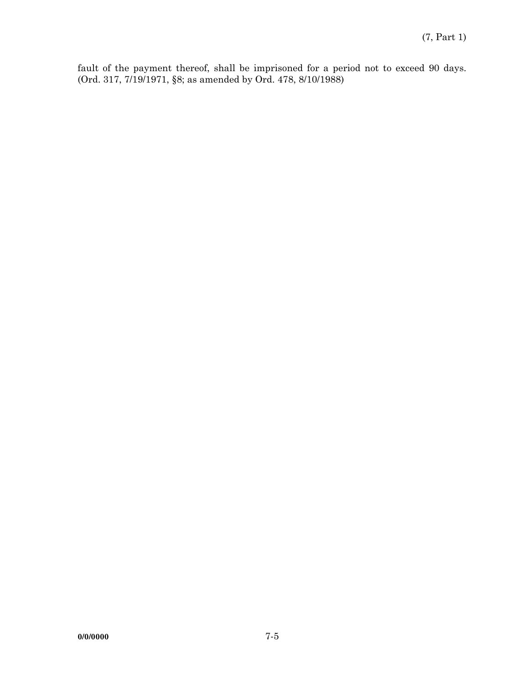fault of the payment thereof, shall be imprisoned for a period not to exceed 90 days. (Ord. 317, 7/19/1971, §8; as amended by Ord. 478, 8/10/1988)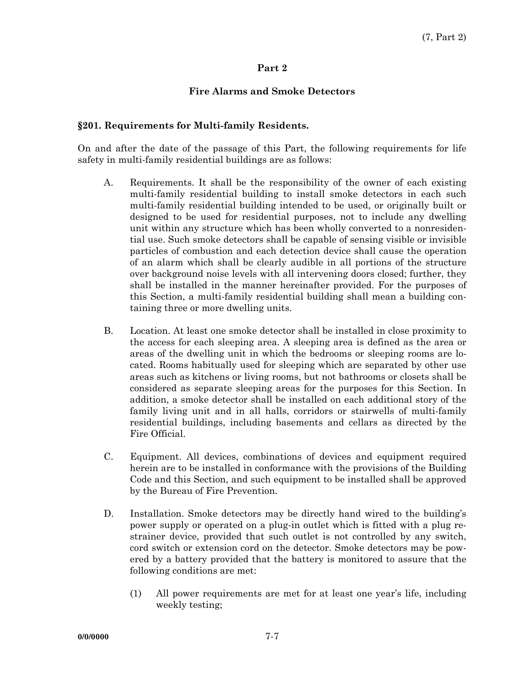#### **Part 2**

# **Fire Alarms and Smoke Detectors**

#### **§201. Requirements for Multi-family Residents.**

On and after the date of the passage of this Part, the following requirements for life safety in multi-family residential buildings are as follows:

- A. Requirements. It shall be the responsibility of the owner of each existing multi-family residential building to install smoke detectors in each such multi-family residential building intended to be used, or originally built or designed to be used for residential purposes, not to include any dwelling unit within any structure which has been wholly converted to a nonresidential use. Such smoke detectors shall be capable of sensing visible or invisible particles of combustion and each detection device shall cause the operation of an alarm which shall be clearly audible in all portions of the structure over background noise levels with all intervening doors closed; further, they shall be installed in the manner hereinafter provided. For the purposes of this Section, a multi-family residential building shall mean a building containing three or more dwelling units.
- B. Location. At least one smoke detector shall be installed in close proximity to the access for each sleeping area. A sleeping area is defined as the area or areas of the dwelling unit in which the bedrooms or sleeping rooms are located. Rooms habitually used for sleeping which are separated by other use areas such as kitchens or living rooms, but not bathrooms or closets shall be considered as separate sleeping areas for the purposes for this Section. In addition, a smoke detector shall be installed on each additional story of the family living unit and in all halls, corridors or stairwells of multi-family residential buildings, including basements and cellars as directed by the Fire Official.
- C. Equipment. All devices, combinations of devices and equipment required herein are to be installed in conformance with the provisions of the Building Code and this Section, and such equipment to be installed shall be approved by the Bureau of Fire Prevention.
- D. Installation. Smoke detectors may be directly hand wired to the building's power supply or operated on a plug-in outlet which is fitted with a plug restrainer device, provided that such outlet is not controlled by any switch, cord switch or extension cord on the detector. Smoke detectors may be powered by a battery provided that the battery is monitored to assure that the following conditions are met:
	- (1) All power requirements are met for at least one year's life, including weekly testing;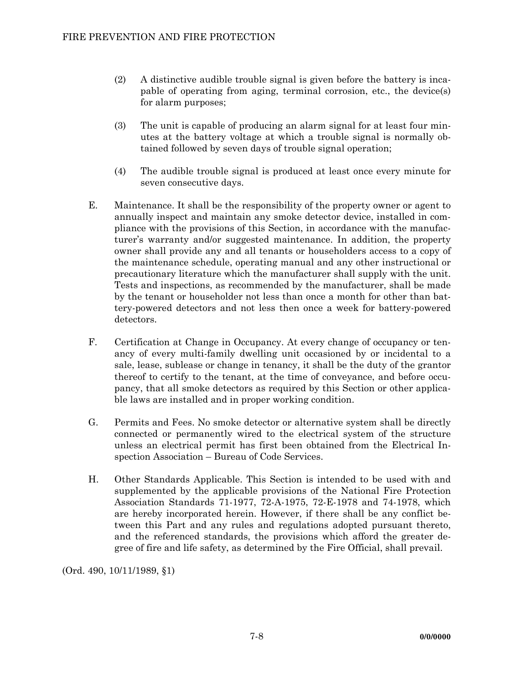- (2) A distinctive audible trouble signal is given before the battery is incapable of operating from aging, terminal corrosion, etc., the device(s) for alarm purposes;
- (3) The unit is capable of producing an alarm signal for at least four minutes at the battery voltage at which a trouble signal is normally obtained followed by seven days of trouble signal operation;
- (4) The audible trouble signal is produced at least once every minute for seven consecutive days.
- E. Maintenance. It shall be the responsibility of the property owner or agent to annually inspect and maintain any smoke detector device, installed in compliance with the provisions of this Section, in accordance with the manufacturer's warranty and/or suggested maintenance. In addition, the property owner shall provide any and all tenants or householders access to a copy of the maintenance schedule, operating manual and any other instructional or precautionary literature which the manufacturer shall supply with the unit. Tests and inspections, as recommended by the manufacturer, shall be made by the tenant or householder not less than once a month for other than battery-powered detectors and not less then once a week for battery-powered detectors.
- F. Certification at Change in Occupancy. At every change of occupancy or tenancy of every multi-family dwelling unit occasioned by or incidental to a sale, lease, sublease or change in tenancy, it shall be the duty of the grantor thereof to certify to the tenant, at the time of conveyance, and before occupancy, that all smoke detectors as required by this Section or other applicable laws are installed and in proper working condition.
- G. Permits and Fees. No smoke detector or alternative system shall be directly connected or permanently wired to the electrical system of the structure unless an electrical permit has first been obtained from the Electrical Inspection Association – Bureau of Code Services.
- H. Other Standards Applicable. This Section is intended to be used with and supplemented by the applicable provisions of the National Fire Protection Association Standards 71-1977, 72-A-1975, 72-E-1978 and 74-1978, which are hereby incorporated herein. However, if there shall be any conflict between this Part and any rules and regulations adopted pursuant thereto, and the referenced standards, the provisions which afford the greater degree of fire and life safety, as determined by the Fire Official, shall prevail.

(Ord. 490, 10/11/1989, §1)